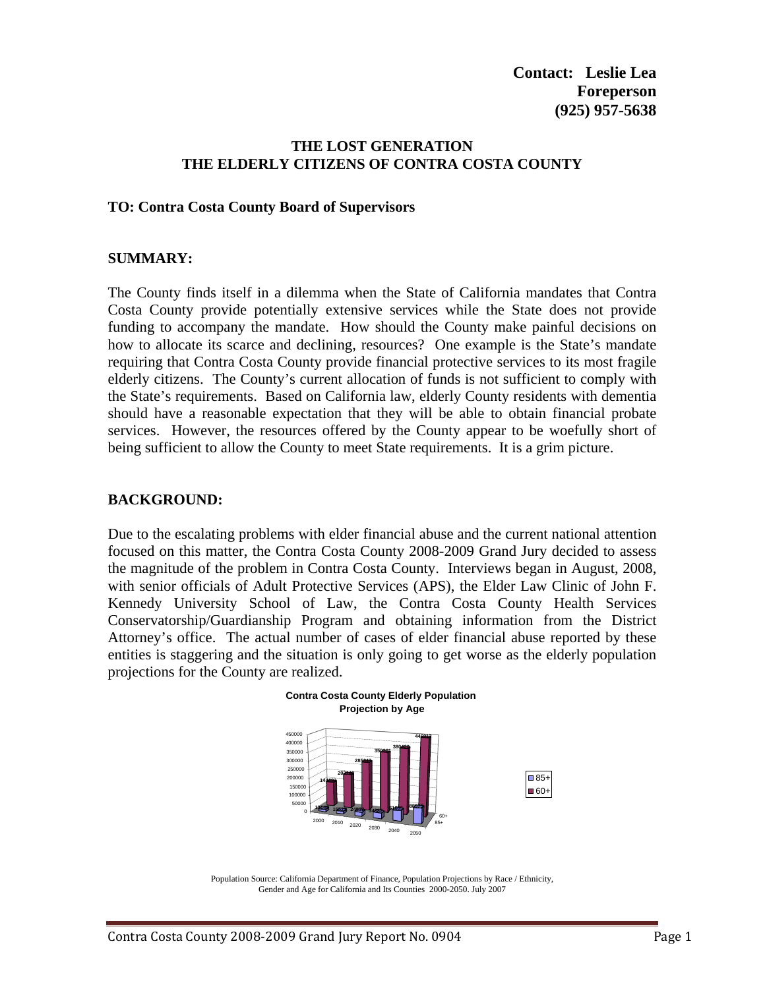## **THE LOST GENERATION THE ELDERLY CITIZENS OF CONTRA COSTA COUNTY**

#### **TO: Contra Costa County Board of Supervisors**

#### **SUMMARY:**

The County finds itself in a dilemma when the State of California mandates that Contra Costa County provide potentially extensive services while the State does not provide funding to accompany the mandate. How should the County make painful decisions on how to allocate its scarce and declining, resources? One example is the State's mandate requiring that Contra Costa County provide financial protective services to its most fragile elderly citizens. The County's current allocation of funds is not sufficient to comply with the State's requirements. Based on California law, elderly County residents with dementia should have a reasonable expectation that they will be able to obtain financial probate services. However, the resources offered by the County appear to be woefully short of being sufficient to allow the County to meet State requirements. It is a grim picture.

### **BACKGROUND:**

Due to the escalating problems with elder financial abuse and the current national attention focused on this matter, the Contra Costa County 2008-2009 Grand Jury decided to assess the magnitude of the problem in Contra Costa County. Interviews began in August, 2008, with senior officials of Adult Protective Services (APS), the Elder Law Clinic of John F. Kennedy University School of Law, the Contra Costa County Health Services Conservatorship/Guardianship Program and obtaining information from the District Attorney's office. The actual number of cases of elder financial abuse reported by these entities is staggering and the situation is only going to get worse as the elderly population projections for the County are realized.



Population Source: California Department of Finance, Population Projections by Race / Ethnicity, Gender and Age for California and Its Counties 2000-2050. July 2007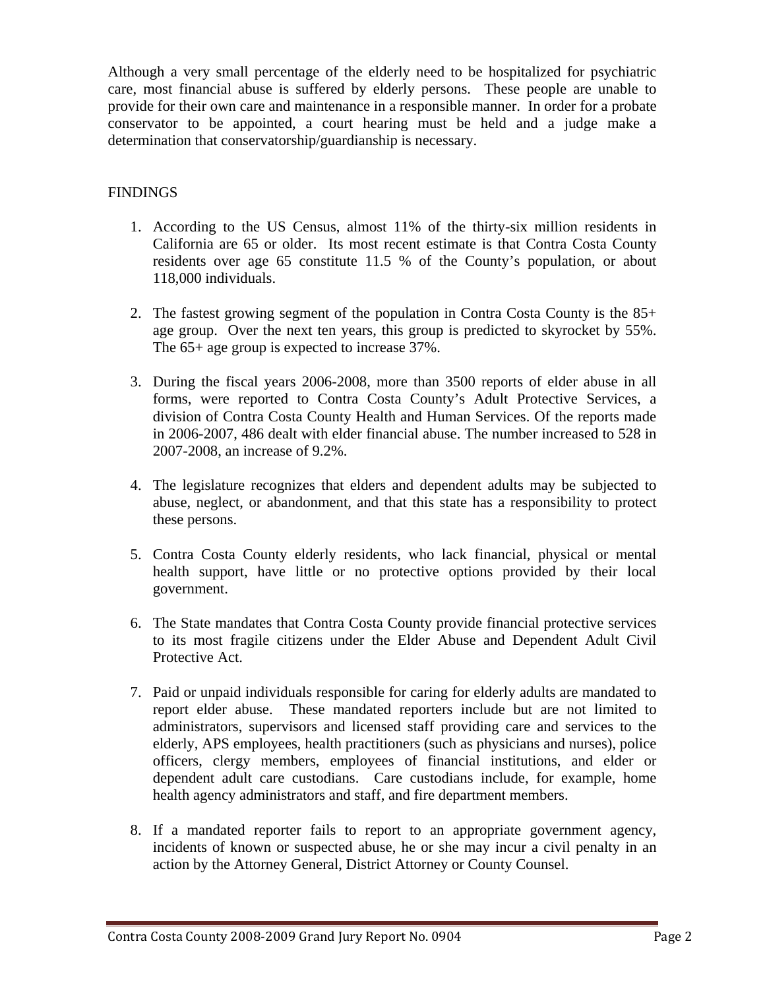Although a very small percentage of the elderly need to be hospitalized for psychiatric care, most financial abuse is suffered by elderly persons. These people are unable to provide for their own care and maintenance in a responsible manner. In order for a probate conservator to be appointed, a court hearing must be held and a judge make a determination that conservatorship/guardianship is necessary.

## FINDINGS

- 1. According to the US Census, almost 11% of the thirty-six million residents in California are 65 or older. Its most recent estimate is that Contra Costa County residents over age 65 constitute 11.5 % of the County's population, or about 118,000 individuals.
- 2. The fastest growing segment of the population in Contra Costa County is the 85+ age group. Over the next ten years, this group is predicted to skyrocket by 55%. The 65+ age group is expected to increase 37%.
- 3. During the fiscal years 2006-2008, more than 3500 reports of elder abuse in all forms, were reported to Contra Costa County's Adult Protective Services, a division of Contra Costa County Health and Human Services. Of the reports made in 2006-2007, 486 dealt with elder financial abuse. The number increased to 528 in 2007-2008, an increase of 9.2%.
- 4. The legislature recognizes that elders and dependent adults may be subjected to abuse, neglect, or abandonment, and that this state has a responsibility to protect these persons.
- 5. Contra Costa County elderly residents, who lack financial, physical or mental health support, have little or no protective options provided by their local government.
- 6. The State mandates that Contra Costa County provide financial protective services to its most fragile citizens under the Elder Abuse and Dependent Adult Civil Protective Act.
- 7. Paid or unpaid individuals responsible for caring for elderly adults are mandated to report elder abuse. These mandated reporters include but are not limited to administrators, supervisors and licensed staff providing care and services to the elderly, APS employees, health practitioners (such as physicians and nurses), police officers, clergy members, employees of financial institutions, and elder or dependent adult care custodians. Care custodians include, for example, home health agency administrators and staff, and fire department members.
- 8. If a mandated reporter fails to report to an appropriate government agency, incidents of known or suspected abuse, he or she may incur a civil penalty in an action by the Attorney General, District Attorney or County Counsel.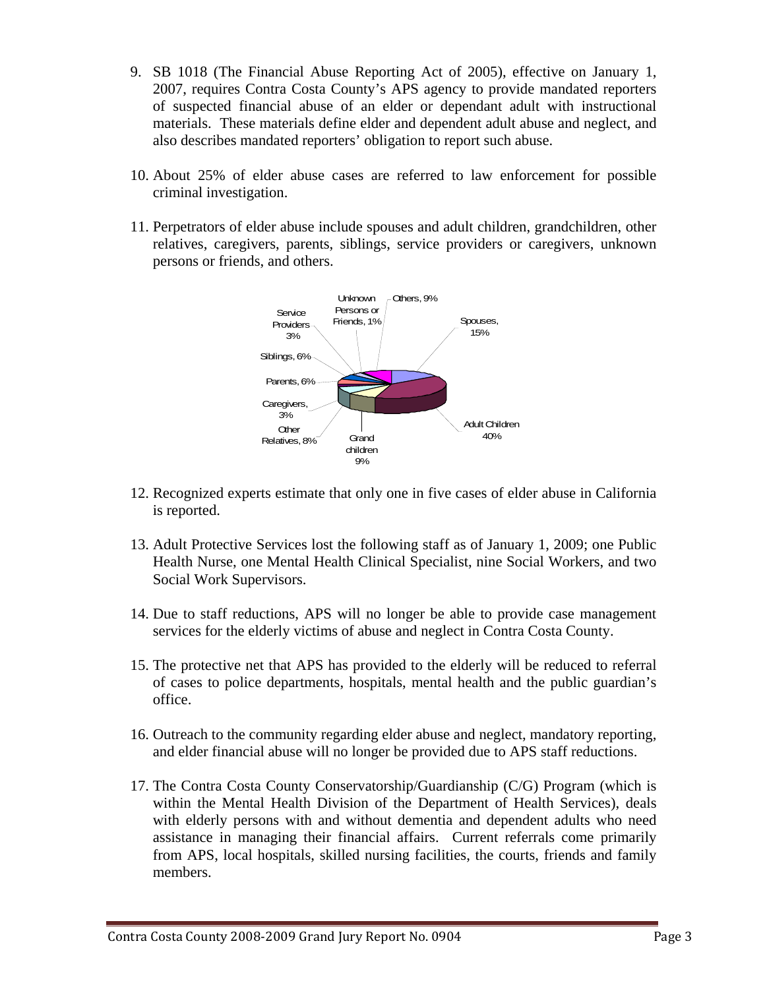- 9. SB 1018 (The Financial Abuse Reporting Act of 2005), effective on January 1, 2007, requires Contra Costa County's APS agency to provide mandated reporters of suspected financial abuse of an elder or dependant adult with instructional materials. These materials define elder and dependent adult abuse and neglect, and also describes mandated reporters' obligation to report such abuse.
- 10. About 25% of elder abuse cases are referred to law enforcement for possible criminal investigation.
- 11. Perpetrators of elder abuse include spouses and adult children, grandchildren, other relatives, caregivers, parents, siblings, service providers or caregivers, unknown persons or friends, and others.



- 12. Recognized experts estimate that only one in five cases of elder abuse in California is reported.
- 13. Adult Protective Services lost the following staff as of January 1, 2009; one Public Health Nurse, one Mental Health Clinical Specialist, nine Social Workers, and two Social Work Supervisors.
- 14. Due to staff reductions, APS will no longer be able to provide case management services for the elderly victims of abuse and neglect in Contra Costa County.
- 15. The protective net that APS has provided to the elderly will be reduced to referral of cases to police departments, hospitals, mental health and the public guardian's office.
- 16. Outreach to the community regarding elder abuse and neglect, mandatory reporting, and elder financial abuse will no longer be provided due to APS staff reductions.
- 17. The Contra Costa County Conservatorship/Guardianship (C/G) Program (which is within the Mental Health Division of the Department of Health Services), deals with elderly persons with and without dementia and dependent adults who need assistance in managing their financial affairs. Current referrals come primarily from APS, local hospitals, skilled nursing facilities, the courts, friends and family members.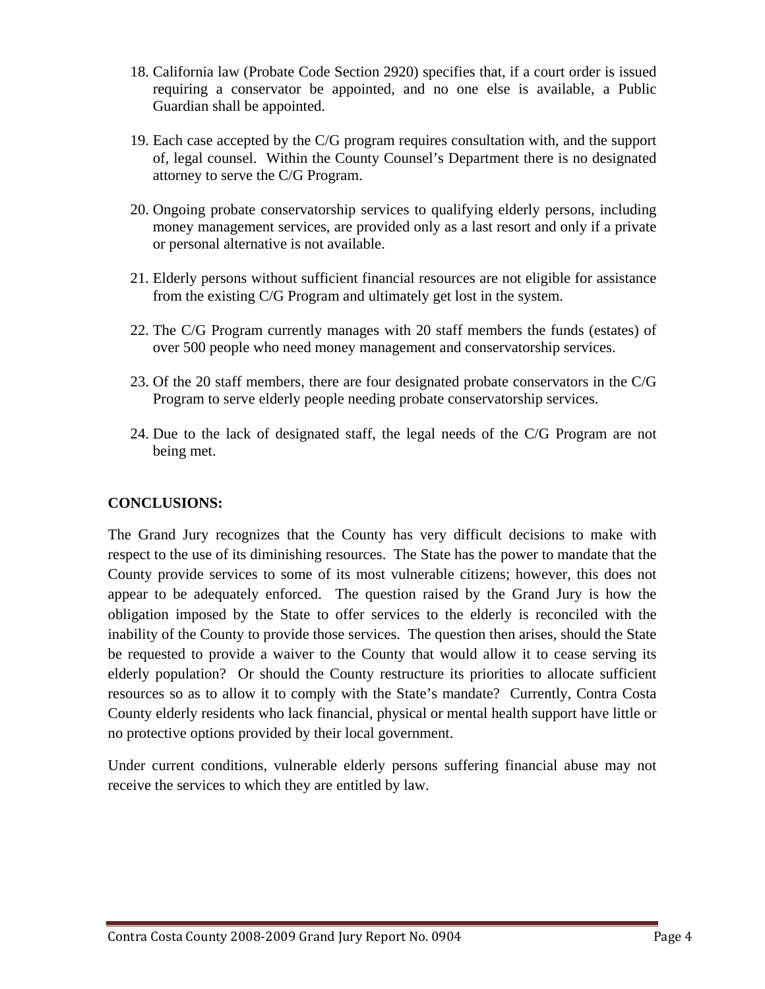- 18. California law (Probate Code Section 2920) specifies that, if a court order is issued requiring a conservator be appointed, and no one else is available, a Public Guardian shall be appointed.
- 19. Each case accepted by the C/G program requires consultation with, and the support of, legal counsel. Within the County Counsel's Department there is no designated attorney to serve the C/G Program.
- 20. Ongoing probate conservatorship services to qualifying elderly persons, including money management services, are provided only as a last resort and only if a private or personal alternative is not available.
- 21. Elderly persons without sufficient financial resources are not eligible for assistance from the existing C/G Program and ultimately get lost in the system.
- 22. The C/G Program currently manages with 20 staff members the funds (estates) of over 500 people who need money management and conservatorship services.
- 23. Of the 20 staff members, there are four designated probate conservators in the C/G Program to serve elderly people needing probate conservatorship services.
- 24. Due to the lack of designated staff, the legal needs of the C/G Program are not being met.

# **CONCLUSIONS:**

The Grand Jury recognizes that the County has very difficult decisions to make with respect to the use of its diminishing resources. The State has the power to mandate that the County provide services to some of its most vulnerable citizens; however, this does not appear to be adequately enforced. The question raised by the Grand Jury is how the obligation imposed by the State to offer services to the elderly is reconciled with the inability of the County to provide those services. The question then arises, should the State be requested to provide a waiver to the County that would allow it to cease serving its elderly population? Or should the County restructure its priorities to allocate sufficient resources so as to allow it to comply with the State's mandate? Currently, Contra Costa County elderly residents who lack financial, physical or mental health support have little or no protective options provided by their local government.

Under current conditions, vulnerable elderly persons suffering financial abuse may not receive the services to which they are entitled by law.